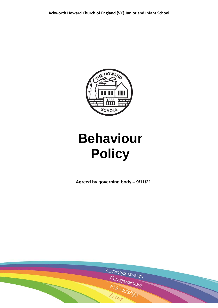

# **Behaviour Policy**

**Agreed by governing body – 9/11/21**

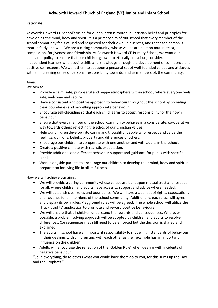# **Rationale**

Ackworth Howard CE School's vision for our children is rooted in Christian belief and principles for developing the mind, body and spirit. It is a primary aim of our school that every member of the school community feels valued and respected for their own uniqueness, and that each person is treated fairly and well. We are a caring community, whose values are built on mutual trust, compassion, forgiveness and friendship. At Ackworth Howard CE Primary School, we want our behaviour policy to ensure that our children grow into ethically conscious, considerate and independent learners who acquire skills and knowledge through the development of confidence and positive self-esteem. We want them to act upon a personal set of well-founded values and attitudes with an increasing sense of personal responsibility towards, and as members of, the community.

## **Aims:**

We aim to:

- Provide a calm, safe, purposeful and happy atmosphere within school, where everyone feels safe, welcome and secure.
- Have a consistent and positive approach to behaviour throughout the school by providing clear boundaries and modelling appropriate behaviour.
- Encourage self-discipline so that each child learns to accept responsibility for their own behaviour.
- Ensure that every member of the school community behaves in a considerate, co-operative way towards others reflecting the ethos of our Christian values.
- Help our children develop into caring and thoughtful people who respect and value the feelings, opinions, beliefs, property and differences of others.
- Encourage our children to co-operate with one another and with adults in the school.
- Create a positive climate with realistic expectation.
- Provide additional and different behaviour support and guidance for pupils with specific needs.
- Work alongside parents to encourage our children to develop their mind, body and spirit in preparation for living life in all its fullness.

How we will achieve our aims:

- We will provide a caring community whose values are built upon mutual trust and respect for all, where children and adults have access to support and advice where needed.
- We will establish clear rules and boundaries. We will have a clear set of rights, expectations and routines for all members of the school community. Additionally, each class will agree and display its own rules. Playground rules will be agreed. The whole school will utilize the 'Trackit Lights' application to promote and reward positive behaviours.
- We will ensure that all children understand the rewards and consequences. Wherever possible, a problem solving approach will be adopted by children and adults to resolve differences. Consequences may still need to be enforced but the decision is shared and explained.
- The adults in school have an important responsibility to model high standards of behaviour in their dealings with children and with each other as their example has an important influence on the children.
- Adults will encourage the reflection of the 'Golden Rule' when dealing with incidents of negative behaviour:

"So in everything, do to others what you would have them do to you, for this sums up the Law and the Prophets."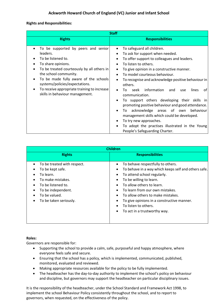# **Rights and Responsibilities:**

| <b>Staff</b>                                                                                                                                                                                                                                                                                                                                              |                                                                                                                                                                                                                                                                                                                                                                                                                                                                                                                                                                                                                                                                                                                                                      |
|-----------------------------------------------------------------------------------------------------------------------------------------------------------------------------------------------------------------------------------------------------------------------------------------------------------------------------------------------------------|------------------------------------------------------------------------------------------------------------------------------------------------------------------------------------------------------------------------------------------------------------------------------------------------------------------------------------------------------------------------------------------------------------------------------------------------------------------------------------------------------------------------------------------------------------------------------------------------------------------------------------------------------------------------------------------------------------------------------------------------------|
| <b>Rights</b>                                                                                                                                                                                                                                                                                                                                             | <b>Responsibilities</b>                                                                                                                                                                                                                                                                                                                                                                                                                                                                                                                                                                                                                                                                                                                              |
| To be supported by peers and senior<br>leaders.<br>To be listened to.<br>To share opinions.<br>$\bullet$<br>To be treated courteously by all others in<br>$\bullet$<br>the school community.<br>To be made fully aware of the schools<br>systems/policies/expectations.<br>To receive appropriate training to increase<br>skills in behaviour management. | To safeguard all children.<br>$\bullet$<br>To ask for support when needed.<br>$\bullet$<br>To offer support to colleagues and leaders.<br>To listen to others.<br>To give opinion in a constructive manner.<br>$\bullet$<br>To model courteous behaviour.<br>$\bullet$<br>To recognise and acknowledge positive behaviour in<br>$\bullet$<br>others.<br>information<br>lines<br>of l<br>To<br>seek<br>and<br>use<br>communication.<br>To support others developing their skills in<br>promoting positive behaviour and good attendance.<br>acknowledge areas of own<br>behaviour<br>To<br>management skills which could be developed.<br>To try new approaches.<br>To adopt the practises illustrated in the Young<br>People's Safeguarding Charter. |

| <b>Children</b>                                                                                                                                                                                                                   |                                                                                                                                                                                                                                                                                                                                                                                                                                                                |
|-----------------------------------------------------------------------------------------------------------------------------------------------------------------------------------------------------------------------------------|----------------------------------------------------------------------------------------------------------------------------------------------------------------------------------------------------------------------------------------------------------------------------------------------------------------------------------------------------------------------------------------------------------------------------------------------------------------|
| <b>Rights</b>                                                                                                                                                                                                                     | <b>Responsibilities</b>                                                                                                                                                                                                                                                                                                                                                                                                                                        |
| To be treated with respect.<br>$\bullet$<br>To be kept safe.<br>To learn.<br>$\bullet$<br>To make mistakes.<br>To be listened to.<br>$\bullet$<br>To be independent.<br>To be valued.<br>$\bullet$<br>To be taken seriously.<br>٠ | To behave respectfully to others.<br>٠<br>To behave in a way which keeps self and others safe.<br>$\bullet$<br>To attend school regularly.<br>$\bullet$<br>To be willing to learn.<br>$\bullet$<br>To allow others to learn.<br>$\bullet$<br>To learn from our own mistakes.<br>$\bullet$<br>To allow others to make mistakes.<br>$\bullet$<br>To give opinions in a constructive manner.<br>To listen to others.<br>To act in a trustworthy way.<br>$\bullet$ |

# **Roles:**

Governors are responsible for:

- Supporting the school to provide a calm, safe, purposeful and happy atmosphere, where everyone feels safe and secure.
- Ensuring that the school has a policy, which is implemented, communicated, published, monitored, evaluated and reviewed.
- Making appropriate resources available for the policy to be fully implemented.
- The headteacher has the day-to-day authority to implement the school's policy on behaviour and discipline, but governors may support the headteacher on particular disciplinary issues.

It is the responsibility of the headteacher, under the School Standard and Framework Act 1998, to implement the school Behaviour Policy consistently throughout the school, and to report to governors, when requested, on the effectiveness of the policy.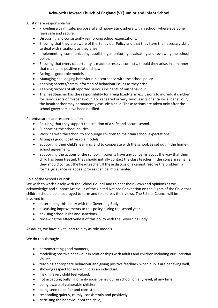All staff are responsible for:

- Providing a calm, safe, purposeful and happy atmosphere within school, where everyone feels safe and secure.
- Discussing and consistently reinforcing school expectations.
- Ensuring that they are aware of the Behaviour Policy and that they have the necessary skills to deal with situations as they arise.
- Implementing, communicating, publishing, monitoring, evaluating and reviewing the school policy.
- Ensuring that every opportunity is made to resolve conflicts, should they arise, in a manner that maintains positive relationships.
- Acting as good role models.
- Managing challenging behaviour in accordance with the school policy.
- Keeping parents/carers informed of behaviour issues as they arise.
- Keeping records of all reported serious incidents of misbehaviour.
- The headteacher has the responsibility for giving fixed-term exclusions to individual children for serious acts of misbehaviour. For repeated or very serious acts of anti-social behaviour, the headteacher may permanently exclude a child. These actions are taken only after the school governors have been notified.

Parents/carers are responsible for:

- Ensuring that they support the creation of a safe and secure school.
- Supporting the school policies.
- Working with the school to encourage children to maintain school expectations.
- Acting as good, positive role models.
- Supporting their child's learning, and to cooperate with the school, as set out in the homeschool agreement.
- Supporting the actions of the school. If parents have any concerns about the way that their child has been treated, they should initially contact the class teacher. If the concern remains, they should contact the headteacher. If these discussions cannot resolve the problem, a formal grievance or appeal process can be implemented.

#### Role of the School Council:

We wish to work closely with the School Council and to hear their views and opinions as we acknowledge and support Article 12 of the United Nations Convention on the Rights of the Child that children should be encouraged to form and to express their views. The School Council will be involved in:

- determining this policy with the Governing Body.
- discussing improvements to this policy during the school year.
- devising school rules and sanctions.
- reviewing the effectiveness of this policy with the Governing Body.

As adults, we have a vital part to play as role models.

We do this through:

- demonstrating good manners,
- modelling positive behaviour in relationships with adults and children including our Christian Values,
- teaching appropriate behaviour and giving positive feedback when pupils are behaving well,
- showing respect for every child as an individual,
- making every child feel valued,
- not accepting bullying or anti-social behaviour in school, on any level, at any time,
- being aware of vulnerable children,
- being seen to be fair and consistent,
- responding quietly, calmly, consistently and positively,
- criticising the behaviour not the child,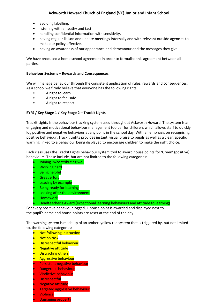- avoiding labelling,
- listening with empathy and tact,
- handling confidential information with sensitivity,
- having regular liaison and update meetings internally and with relevant outside agencies to make our policy effective,
- having an awareness of our appearance and demeanour and the messages they give.

We have produced a home school agreement in order to formalise this agreement between all parties.

# **Behaviour Systems – Rewards and Consequences.**

We will manage behaviour through the consistent application of rules, rewards and consequences. As a school we firmly believe that everyone has the following rights:

- A right to learn.
- A right to feel safe.
- A right to respect.

# **EYFS / Key Stage 1 / Key Stage 2 – Trackit Lights**

Trackit Lights is the behaviour tracking system used throughout Ackworth Howard. The system is an engaging and motivational behaviour management toolbar for children, which allows staff to quickly log positive and negative behaviour at any point in the school day. With an emphasis on recognising positive behaviour, Trackit Lights provides instant, visual praise to pupils as well as a clear, specific warning linked to a behaviour being displayed to encourage children to make the right choice.

Each class uses the Trackit Lights behaviour system tool to award house points for 'Green' (positive) behaviours. These include, but are not limited to the following categories:

- Joining in/contributing well
- Working hard
- Being helpful
- **Great effort**
- Leading by example
- Being ready for learning
- Looking after the environment
- Homework
- Headteacher's Award (exceptional learning behaviours and attitude to learning)

For every positive behaviour logged, 1 house point is awarded and displayed next to the pupil's name and house points are reset at the end of the day.

The warning system is made up of an amber, yellow red system that is triggered by, but not limited to, the following categories:

- Not following instruction
- **•** Not on task
- Disrespectful behaviour
- Negative attitude
- **Distracting others**
- Aggressive behaviour
- Persistent negative behaviour
- Dangerous behaviour
- Vindictive behaviour
- **Disrespectful**
- Negative attitude
- Targeted aggressive behaviour
- **Violence**
- Damaging property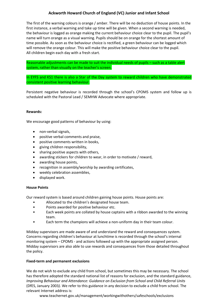The first of the warning colours is orange / amber. There will be no deduction of house points. In the first instance, a verbal warning and take up time will be given. When a second warning is needed, the behaviour is logged as orange making the current behaviour choice clear to the pupil. The pupil's name will turn orange as a visual warning. Pupils should be on orange for the shortest amount of time possible. As soon as the behaviour choice is rectified, a green behaviour can be logged which will remove the orange colour. This will make the positive behaviour choice clear to the pupil. All children begin each day with a fresh start.

Reasonable adjustments can be made to suit the individual needs of pupils – such as a table alert system, rather than visually on the teacher's screen.

In EYFS and KS1 there is also a Star of the Day system to reward children who have demonstrated consistent positive learning behaviour.

Persistent negative behaviour is recorded through the school's CPOMS system and follow up is scheduled with the Pastoral Lead / SEMHW Advocate where appropriate.

## **Rewards:**

We encourage good patterns of behaviour by using:

- non-verbal signals,
- positive verbal comments and praise,
- positive comments written in books,
- giving children responsibility,
- sharing positive aspects with others,
- awarding stickers for children to wear, in order to motivate / reward,
- awarding house points,
- recognition in assembly/worship by awarding certificates,
- weekly celebration assemblies,
- displayed work.

#### **House Points**

Our reward system is based around children gaining house points. House points are:

- Allocated to the children's designated house team.
- Points awarded for positive behaviour etc.
- Each week points are collated by house captains with a ribbon awarded to the winning team.
- Each term the champions will achieve a non-uniform day in their team colour.

Midday supervisors are made aware of and understand the reward and consequences system. Concerns regarding children's behaviour at lunchtime is recorded through the school's internal monitoring system – CPOMS - and actions followed up with the appropriate assigned person. Midday supervisors are also able to use rewards and consequences from those detailed throughout the policy.

#### **Fixed-term and permanent exclusions**

We do not wish to exclude any child from school, but sometimes this may be necessary. The school has therefore adopted the standard national list of reasons for exclusion, and the standard guidance, *Improving Behaviour and Attendance: Guidance on Exclusion from School and Child Referral Units*  (DfES, January 2003*).* We refer to this guidance in any decision to exclude a child from school. The relevant Internet address is:

www.teachernet.gov.uk/management/workingwithothers/safeschools/exclusions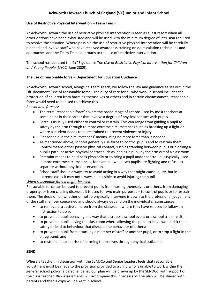# **Use of Restrictive Physical Intervention – Team Teach**

At Ackworth Howard the use of restrictive physical intervention is seen as a last resort when all other options have been exhausted and will be used with the minimum degree of intrusion required to resolve the situation. Where possible the use of restrictive physical intervention will be carefully planned and involve staff who have received awareness training on de-escalation techniques and approaches and the Team Teach approach to the use of restrictive intervention.

The school has adopted the CYPS guidance *The Use of Restrictive Physical Intervention for Children and Young People* (NYCC, June 2009).

## **The use of reasonable force – Department for Education Guidance**

At Ackworth Howard school, alongside Team Teach, we follow the law and guidance as set out in the DfE document 'Use of reasonable force.' The duty of care for all who work in school includes the protection of children from harming themselves or others and in certain circumstances; reasonable force would need to be used to achieve this.

*Reasonable force is:*

- The term 'reasonable force' covers the broad range of actions used by most teachers at some point in their career that involve a degree of physical contact with pupils.
- Force is usually used either to control or restrain. This can range from guiding a pupil to safety by the arm through to more extreme circumstances such as breaking up a fight or where a student needs to be restrained to prevent violence or injury.
- 'Reasonable in the circumstances' means using no more force than is needed.
- As mentioned above, schools generally use force to control pupils and to restrain them. Control means either passive physical contact, such as standing between pupils or blocking a pupil's path, or active physical contact such as leading a pupil by the arm out of a classroom.
- Restraint means to hold back physically or to bring a pupil under control. It is typically used in more extreme circumstances, for example when two pupils are fighting and refuse to separate without physical intervention.
- School staff should always try to avoid acting in a way that might cause injury, but in extreme cases it may not always be possible to avoid injuring the pupil.

# *When reasonable forced might be used:*

Reasonable force can be used to prevent pupils from hurting themselves or others, from damaging property, or from causing disorder. It is used for two main purposes – to control pupils or to restrain them. The decision on whether or not to physically intervene is down to the professional judgement of the staff member concerned and should always depend on the individual circumstances.

- to remove disruptive children from the classroom where they have refused to follow an instruction to do so;
- to prevent a pupil behaving in a way that disrupts a school event or a school trip or visit;
- to prevent a pupil leaving the classroom where allowing the pupil to leave would risk their safety or lead to behaviour that disrupts the behaviour of others;
- to prevent a pupil from attacking a member of staff or another pupil, or to stop a fight in the playground; and
- to restrain a pupil at risk of harming themselves through physical outbursts.

#### **SEND**

Where a teacher, in discussion with the SENDCo and Senior Leaders feels that reasonable adjustment must be made to the provision provided to a child who is unable to work within the general school policy, a personal behaviour plan will be drawn up by the SENDCo, with support of the class teacher. Risk assessments will accompany this if necessary. The plan will be shared with parents and then a copy will be kept in school.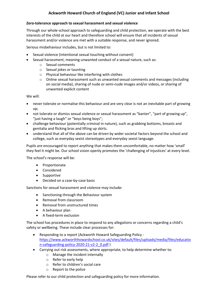## **Zero-tolerance approach to sexual harassment and sexual violence**

Through our whole-school approach to safeguarding and child protection, we operate with the best interests of the child at our heart and therefore school will ensure that all incidents of sexual harassment and/or violence are met with a suitable response, and never ignored.

Serious misbehaviour includes, but is not limited to:

- Sexual violence (intentional sexual touching without consent)
- Sexual harassment, meaning unwanted conduct of a sexual nature, such as:
	- o Sexual comments
	- o Sexual jokes or taunting
	- o Physical behaviour like interfering with clothes
	- $\circ$  Online sexual harassment such as unwanted sexual comments and messages (including on social media), sharing of nude or semi-nude images and/or videos, or sharing of unwanted explicit content

We will:

- never tolerate or normalise this behaviour and are very clear is not an inevitable part of growing up;
- not tolerate or dismiss sexual violence or sexual harassment as "banter", "part of growing up", "just having a laugh" or "boys being boys";
- challenge behaviour (potentially criminal in nature), such as grabbing bottoms, breasts and genitalia and flicking bras and lifting up skirts.
- understand that all of the above can be driven by wider societal factors beyond the school and college, such as everyday sexist stereotypes and everyday sexist language.

Pupils are encouraged to report anything that makes them uncomfortable, no matter how 'small' they feel it might be. Our school vision openly promotes the 'challenging of injustices' at every level.

The school's response will be:

- Proportionate
- Considered
- Supportive
- Decided on a case-by-case basis

Sanctions for sexual harassment and violence may include:

- Sanctioning through the Behaviour system
- Removal from classroom
- Removal from unstructured times
- A behaviour plan
- A fixed-term exclusion

The school has procedures in place to respond to any allegations or concerns regarding a child's safety or wellbeing. These include clear processes for:

- Responding to a report (Ackworth Howard Safeguarding Policy [https://www.ackworthhowardschool.co.uk/sites/default/files/uploads/media/files/educatio](https://www.ackworthhowardschool.co.uk/sites/default/files/uploads/media/files/education-safeguarding-policy-2020-21-v2-2_0.pdf) [n-safeguarding-policy-2020-21-v2-2\\_0.pdf](https://www.ackworthhowardschool.co.uk/sites/default/files/uploads/media/files/education-safeguarding-policy-2020-21-v2-2_0.pdf) )
- Carrying out risk assessments, where appropriate, to help determine whether to:
	- o Manage the incident internally
	- o Refer to early help
	- o Refer to children's social care
	- o Report to the police

Please refer to our child protection and safeguarding policy for more information.